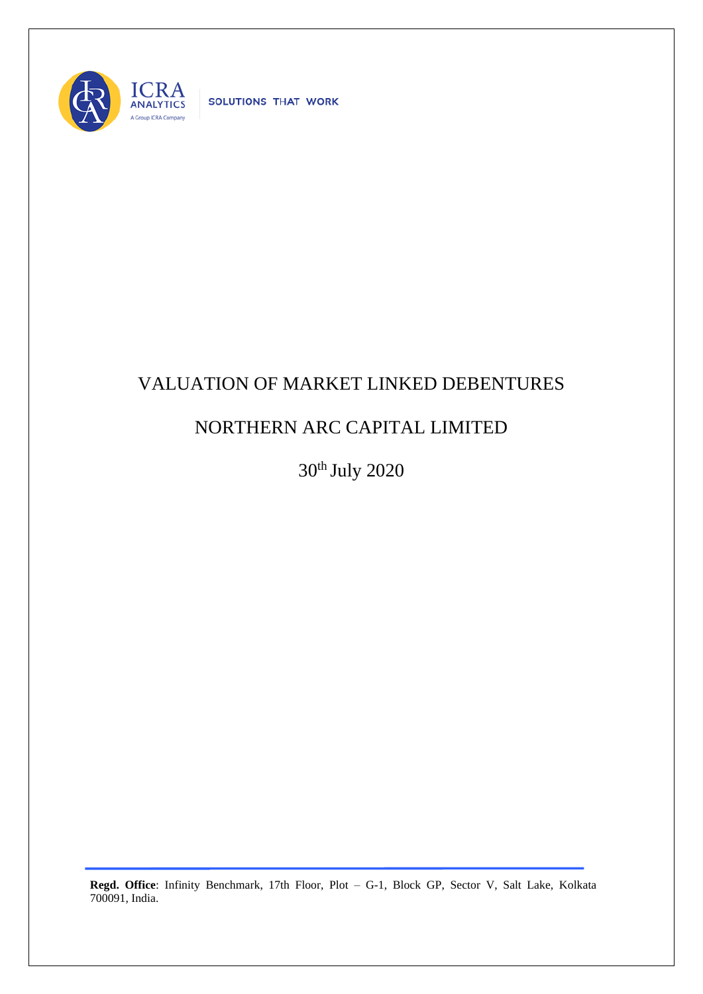

SOLUTIONS THAT WORK

## VALUATION OF MARKET LINKED DEBENTURES

## NORTHERN ARC CAPITAL LIMITED

30th July 2020

**Regd. Office**: Infinity Benchmark, 17th Floor, Plot – G-1, Block GP, Sector V, Salt Lake, Kolkata 700091, India.